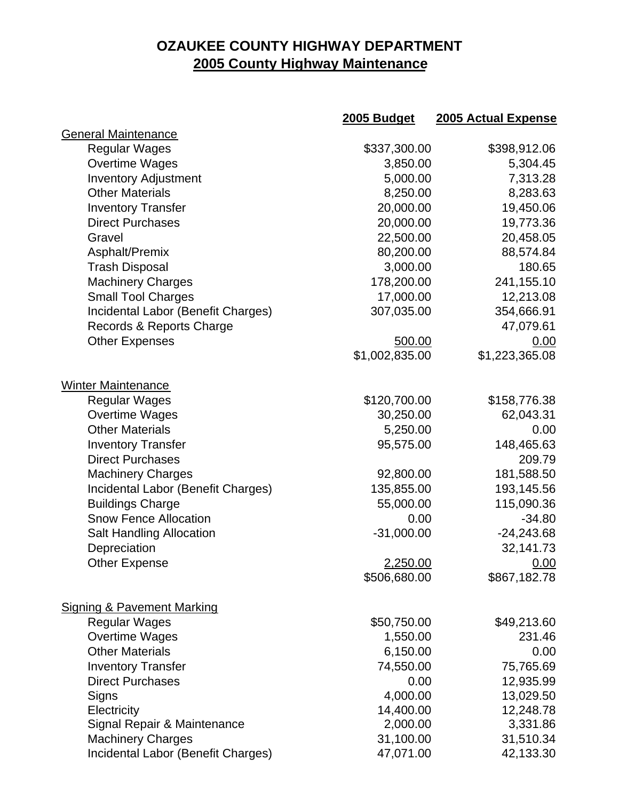## **OZAUKEE COUNTY HIGHWAY DEPARTMENT 2005 County Highway Maintenance**

|                                       | 2005 Budget     | 2005 Actual Expense |
|---------------------------------------|-----------------|---------------------|
| General Maintenance                   |                 |                     |
| <b>Regular Wages</b>                  | \$337,300.00    | \$398,912.06        |
| Overtime Wages                        | 3,850.00        | 5,304.45            |
| <b>Inventory Adjustment</b>           | 5,000.00        | 7,313.28            |
| <b>Other Materials</b>                | 8,250.00        | 8,283.63            |
| <b>Inventory Transfer</b>             | 20,000.00       | 19,450.06           |
| <b>Direct Purchases</b>               | 20,000.00       | 19,773.36           |
| Gravel                                | 22,500.00       | 20,458.05           |
| Asphalt/Premix                        | 80,200.00       | 88,574.84           |
| <b>Trash Disposal</b>                 | 3,000.00        | 180.65              |
| <b>Machinery Charges</b>              | 178,200.00      | 241,155.10          |
| <b>Small Tool Charges</b>             | 17,000.00       | 12,213.08           |
| Incidental Labor (Benefit Charges)    | 307,035.00      | 354,666.91          |
| Records & Reports Charge              |                 | 47,079.61           |
| <b>Other Expenses</b>                 | 500.00          | 0.00                |
|                                       | \$1,002,835.00  | \$1,223,365.08      |
| <b>Winter Maintenance</b>             |                 |                     |
| <b>Regular Wages</b>                  | \$120,700.00    | \$158,776.38        |
| <b>Overtime Wages</b>                 | 30,250.00       | 62,043.31           |
| <b>Other Materials</b>                | 5,250.00        | 0.00                |
| <b>Inventory Transfer</b>             | 95,575.00       | 148,465.63          |
| <b>Direct Purchases</b>               |                 | 209.79              |
| <b>Machinery Charges</b>              | 92,800.00       | 181,588.50          |
| Incidental Labor (Benefit Charges)    | 135,855.00      | 193,145.56          |
| <b>Buildings Charge</b>               | 55,000.00       | 115,090.36          |
| <b>Snow Fence Allocation</b>          | 0.00            | $-34.80$            |
| <b>Salt Handling Allocation</b>       | $-31,000.00$    | $-24,243.68$        |
| Depreciation                          |                 | 32,141.73           |
| <b>Other Expense</b>                  | <u>2,250.00</u> | 0.00                |
|                                       | \$506,680.00    | \$867,182.78        |
| <b>Signing &amp; Pavement Marking</b> |                 |                     |
| <b>Regular Wages</b>                  | \$50,750.00     | \$49,213.60         |
| <b>Overtime Wages</b>                 | 1,550.00        | 231.46              |
| <b>Other Materials</b>                | 6,150.00        | 0.00                |
| <b>Inventory Transfer</b>             | 74,550.00       | 75,765.69           |
| <b>Direct Purchases</b>               | 0.00            | 12,935.99           |
| Signs                                 | 4,000.00        | 13,029.50           |
| Electricity                           | 14,400.00       | 12,248.78           |
| Signal Repair & Maintenance           | 2,000.00        | 3,331.86            |
| <b>Machinery Charges</b>              | 31,100.00       | 31,510.34           |
| Incidental Labor (Benefit Charges)    | 47,071.00       | 42,133.30           |